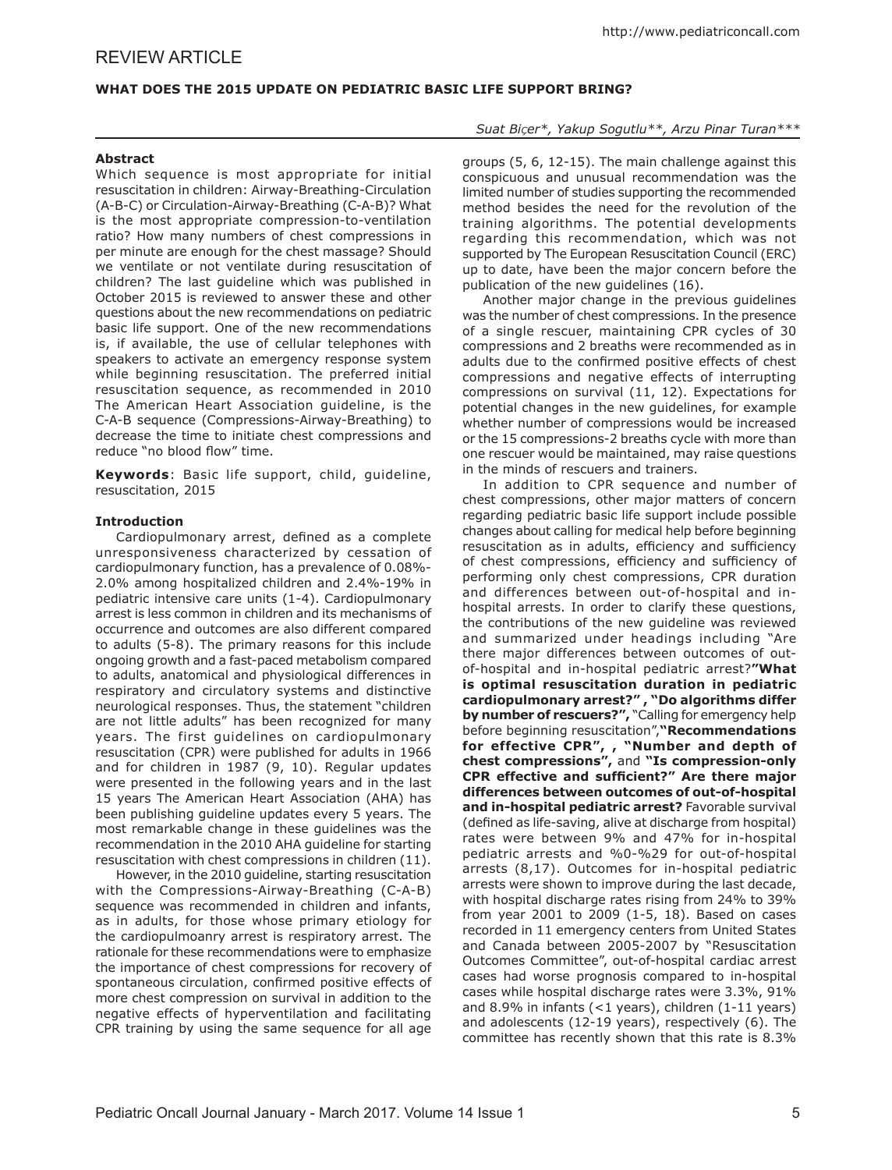# **WHAT DOES THE 2015 UPDATE ON PEDIATRIC BASIC LIFE SUPPORT BRING?**

#### **Abstract**

Which sequence is most appropriate for initial resuscitation in children: Airway-Breathing-Circulation (A-B-C) or Circulation-Airway-Breathing (C-A-B)? What is the most appropriate compression-to-ventilation ratio? How many numbers of chest compressions in per minute are enough for the chest massage? Should we ventilate or not ventilate during resuscitation of children? The last guideline which was published in October 2015 is reviewed to answer these and other questions about the new recommendations on pediatric basic life support. One of the new recommendations is, if available, the use of cellular telephones with speakers to activate an emergency response system while beginning resuscitation. The preferred initial resuscitation sequence, as recommended in 2010 The American Heart Association guideline, is the C-A-B sequence (Compressions-Airway-Breathing) to decrease the time to initiate chest compressions and reduce "no blood flow" time.

**Keywords**: Basic life support, child, guideline, resuscitation, 2015

#### **Introduction**

Cardiopulmonary arrest, defined as a complete unresponsiveness characterized by cessation of cardiopulmonary function, has a prevalence of 0.08%- 2.0% among hospitalized children and 2.4%-19% in pediatric intensive care units (1-4). Cardiopulmonary arrest is less common in children and its mechanisms of occurrence and outcomes are also different compared to adults (5-8). The primary reasons for this include ongoing growth and a fast-paced metabolism compared to adults, anatomical and physiological differences in respiratory and circulatory systems and distinctive neurological responses. Thus, the statement "children are not little adults" has been recognized for many years. The first guidelines on cardiopulmonary resuscitation (CPR) were published for adults in 1966 and for children in 1987 (9, 10). Regular updates were presented in the following years and in the last 15 years The American Heart Association (AHA) has been publishing guideline updates every 5 years. The most remarkable change in these guidelines was the recommendation in the 2010 AHA guideline for starting resuscitation with chest compressions in children (11).

However, in the 2010 guideline, starting resuscitation with the Compressions-Airway-Breathing (C-A-B) sequence was recommended in children and infants, as in adults, for those whose primary etiology for the cardiopulmoanry arrest is respiratory arrest. The rationale for these recommendations were to emphasize the importance of chest compressions for recovery of spontaneous circulation, confirmed positive effects of more chest compression on survival in addition to the negative effects of hyperventilation and facilitating CPR training by using the same sequence for all age

*Suat Biçer\*, Yakup Sogutlu\*\*, Arzu Pinar Turan\*\*\**

groups (5, 6, 12-15). The main challenge against this conspicuous and unusual recommendation was the limited number of studies supporting the recommended method besides the need for the revolution of the training algorithms. The potential developments regarding this recommendation, which was not supported by The European Resuscitation Council (ERC) up to date, have been the major concern before the publication of the new guidelines (16).

Another major change in the previous guidelines was the number of chest compressions. In the presence of a single rescuer, maintaining CPR cycles of 30 compressions and 2 breaths were recommended as in adults due to the confirmed positive effects of chest compressions and negative effects of interrupting compressions on survival (11, 12). Expectations for potential changes in the new guidelines, for example whether number of compressions would be increased or the 15 compressions-2 breaths cycle with more than one rescuer would be maintained, may raise questions in the minds of rescuers and trainers.

In addition to CPR sequence and number of chest compressions, other major matters of concern regarding pediatric basic life support include possible changes about calling for medical help before beginning resuscitation as in adults, efficiency and sufficiency of chest compressions, efficiency and sufficiency of performing only chest compressions, CPR duration and differences between out-of-hospital and inhospital arrests. In order to clarify these questions, the contributions of the new guideline was reviewed and summarized under headings including "Are there major differences between outcomes of outof-hospital and in-hospital pediatric arrest?**"What is optimal resuscitation duration in pediatric cardiopulmonary arrest?" , "Do algorithms differ by number of rescuers?",** "Calling for emergency help before beginning resuscitation",**"Recommendations for effective CPR", , "Number and depth of chest compressions",** and **"Is compression-only CPR effective and sufficient?" Are there major differences between outcomes of out-of-hospital and in-hospital pediatric arrest?** Favorable survival (defined as life-saving, alive at discharge from hospital) rates were between 9% and 47% for in-hospital pediatric arrests and %0-%29 for out-of-hospital arrests (8,17). Outcomes for in-hospital pediatric arrests were shown to improve during the last decade, with hospital discharge rates rising from 24% to 39% from year 2001 to 2009 (1-5, 18). Based on cases recorded in 11 emergency centers from United States and Canada between 2005-2007 by "Resuscitation Outcomes Committee", out-of-hospital cardiac arrest cases had worse prognosis compared to in-hospital cases while hospital discharge rates were 3.3%, 91% and 8.9% in infants (<1 years), children (1-11 years) and adolescents (12-19 years), respectively (6). The committee has recently shown that this rate is 8.3%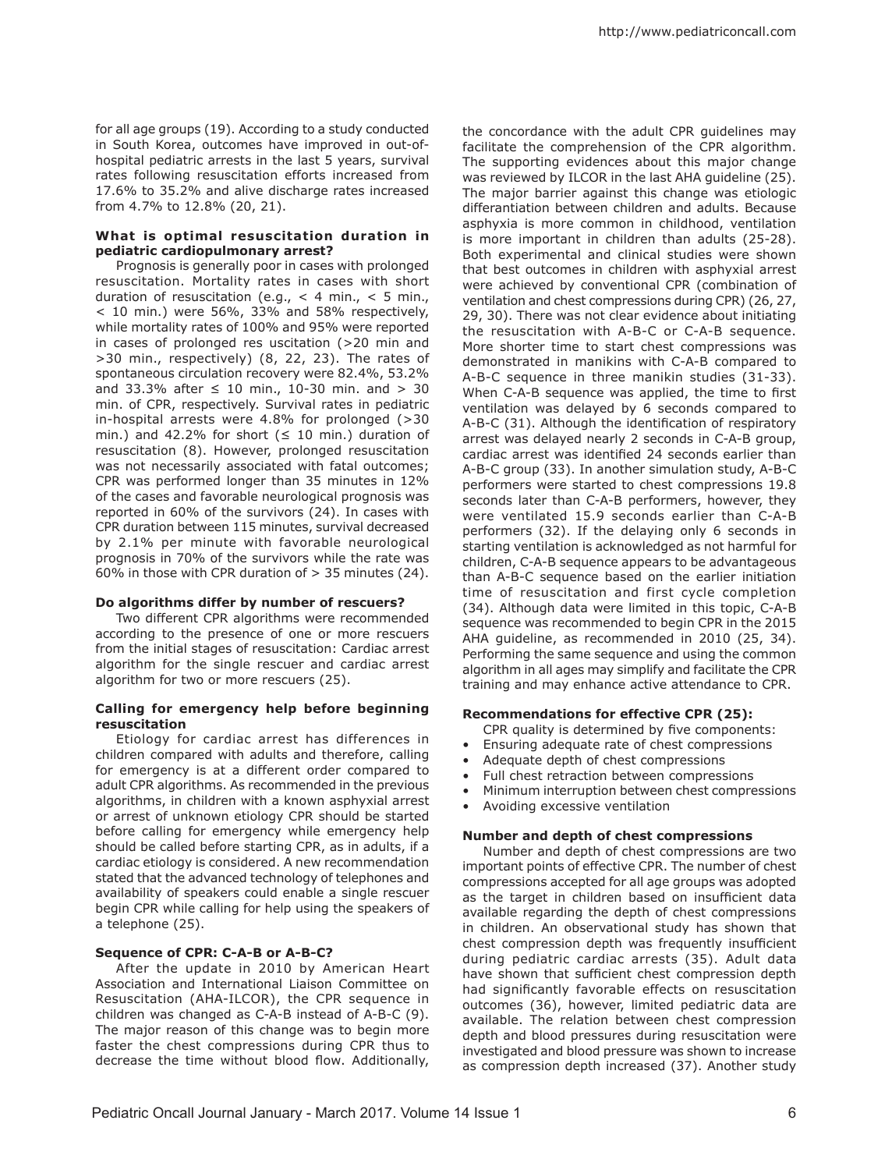for all age groups (19). According to a study conducted in South Korea, outcomes have improved in out-ofhospital pediatric arrests in the last 5 years, survival rates following resuscitation efforts increased from 17.6% to 35.2% and alive discharge rates increased from 4.7% to 12.8% (20, 21).

# **What is optimal resuscitation duration in pediatric cardiopulmonary arrest?**

Prognosis is generally poor in cases with prolonged resuscitation. Mortality rates in cases with short duration of resuscitation (e.g.,  $<$  4 min.,  $<$  5 min., < 10 min.) were 56%, 33% and 58% respectively, while mortality rates of 100% and 95% were reported in cases of prolonged res uscitation (>20 min and >30 min., respectively) (8, 22, 23). The rates of spontaneous circulation recovery were 82.4%, 53.2% and 33.3% after ≤ 10 min., 10-30 min. and > 30 min. of CPR, respectively. Survival rates in pediatric in-hospital arrests were 4.8% for prolonged (>30 min.) and 42.2% for short  $( \leq 10 \text{ min.})$  duration of resuscitation (8). However, prolonged resuscitation was not necessarily associated with fatal outcomes; CPR was performed longer than 35 minutes in 12% of the cases and favorable neurological prognosis was reported in 60% of the survivors (24). In cases with CPR duration between 115 minutes, survival decreased by 2.1% per minute with favorable neurological prognosis in 70% of the survivors while the rate was 60% in those with CPR duration of > 35 minutes (24).

### **Do algorithms differ by number of rescuers?**

Two different CPR algorithms were recommended according to the presence of one or more rescuers from the initial stages of resuscitation: Cardiac arrest algorithm for the single rescuer and cardiac arrest algorithm for two or more rescuers (25).

### **Calling for emergency help before beginning resuscitation**

Etiology for cardiac arrest has differences in children compared with adults and therefore, calling for emergency is at a different order compared to adult CPR algorithms. As recommended in the previous algorithms, in children with a known asphyxial arrest or arrest of unknown etiology CPR should be started before calling for emergency while emergency help should be called before starting CPR, as in adults, if a cardiac etiology is considered. A new recommendation stated that the advanced technology of telephones and availability of speakers could enable a single rescuer begin CPR while calling for help using the speakers of a telephone (25).

# **Sequence of CPR: C-A-B or A-B-C?**

After the update in 2010 by American Heart Association and International Liaison Committee on Resuscitation (AHA-ILCOR), the CPR sequence in children was changed as C-A-B instead of A-B-C (9). The major reason of this change was to begin more faster the chest compressions during CPR thus to decrease the time without blood flow. Additionally,

the concordance with the adult CPR guidelines may facilitate the comprehension of the CPR algorithm. The supporting evidences about this major change was reviewed by ILCOR in the last AHA guideline (25). The major barrier against this change was etiologic differantiation between children and adults. Because asphyxia is more common in childhood, ventilation is more important in children than adults (25-28). Both experimental and clinical studies were shown that best outcomes in children with asphyxial arrest were achieved by conventional CPR (combination of ventilation and chest compressions during CPR) (26, 27, 29, 30). There was not clear evidence about initiating the resuscitation with A-B-C or C-A-B sequence. More shorter time to start chest compressions was demonstrated in manikins with C-A-B compared to A-B-C sequence in three manikin studies (31-33). When C-A-B sequence was applied, the time to first ventilation was delayed by 6 seconds compared to A-B-C (31). Although the identification of respiratory arrest was delayed nearly 2 seconds in C-A-B group, cardiac arrest was identified 24 seconds earlier than A-B-C group (33). In another simulation study, A-B-C performers were started to chest compressions 19.8 seconds later than C-A-B performers, however, they were ventilated 15.9 seconds earlier than C-A-B performers (32). If the delaying only 6 seconds in starting ventilation is acknowledged as not harmful for children, C-A-B sequence appears to be advantageous than A-B-C sequence based on the earlier initiation time of resuscitation and first cycle completion (34). Although data were limited in this topic, C-A-B sequence was recommended to begin CPR in the 2015 AHA guideline, as recommended in 2010 (25, 34). Performing the same sequence and using the common algorithm in all ages may simplify and facilitate the CPR training and may enhance active attendance to CPR.

# **Recommendations for effective CPR (25):**

CPR quality is determined by five components:

- Ensuring adequate rate of chest compressions
- Adequate depth of chest compressions
- Full chest retraction between compressions
- Minimum interruption between chest compressions
- Avoiding excessive ventilation

### **Number and depth of chest compressions**

Number and depth of chest compressions are two important points of effective CPR. The number of chest compressions accepted for all age groups was adopted as the target in children based on insufficient data available regarding the depth of chest compressions in children. An observational study has shown that chest compression depth was frequently insufficient during pediatric cardiac arrests (35). Adult data have shown that sufficient chest compression depth had significantly favorable effects on resuscitation outcomes (36), however, limited pediatric data are available. The relation between chest compression depth and blood pressures during resuscitation were investigated and blood pressure was shown to increase as compression depth increased (37). Another study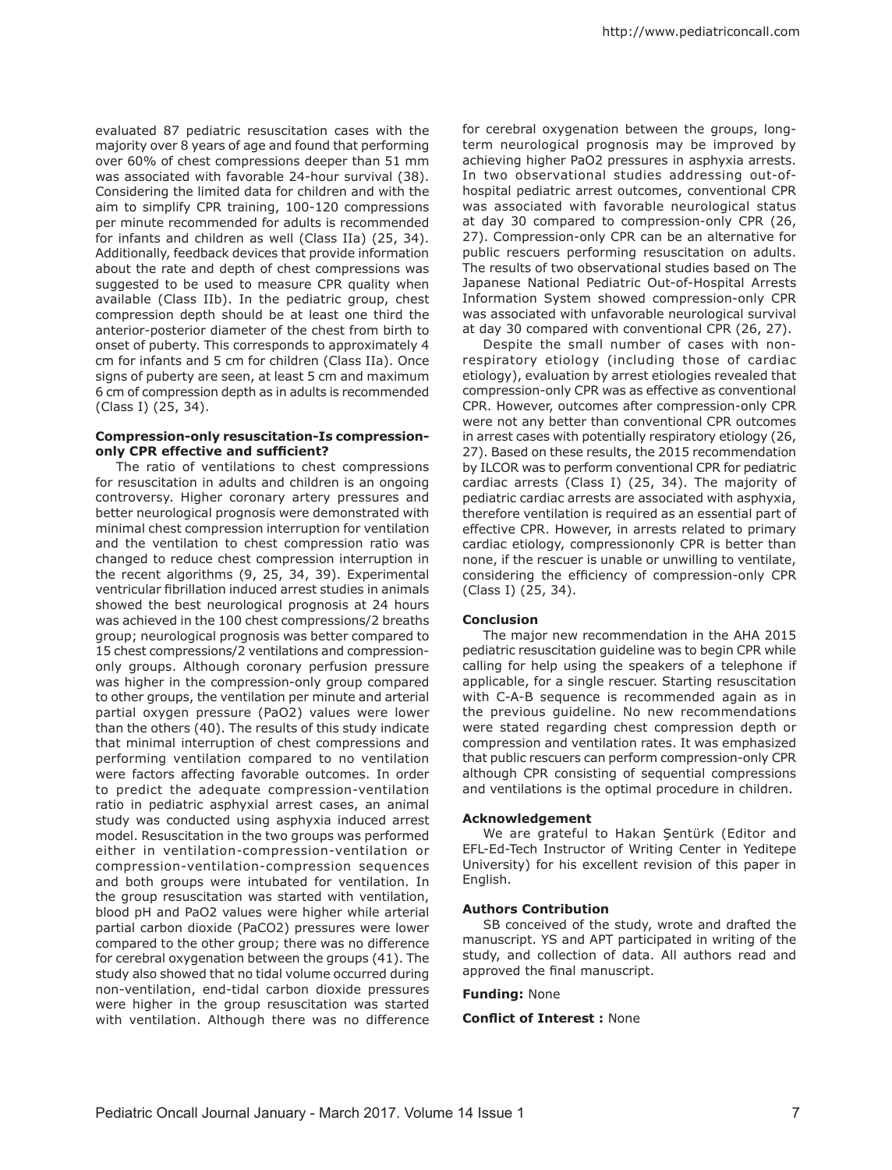evaluated 87 pediatric resuscitation cases with the majority over 8 years of age and found that performing over 60% of chest compressions deeper than 51 mm was associated with favorable 24-hour survival (38). Considering the limited data for children and with the aim to simplify CPR training, 100-120 compressions per minute recommended for adults is recommended for infants and children as well (Class IIa) (25, 34). Additionally, feedback devices that provide information about the rate and depth of chest compressions was suggested to be used to measure CPR quality when available (Class IIb). In the pediatric group, chest compression depth should be at least one third the anterior-posterior diameter of the chest from birth to onset of puberty. This corresponds to approximately 4 cm for infants and 5 cm for children (Class IIa). Once signs of puberty are seen, at least 5 cm and maximum 6 cm of compression depth as in adults is recommended (Class I) (25, 34).

### **Compression-only resuscitation-Is compressiononly CPR effective and sufficient?**

The ratio of ventilations to chest compressions for resuscitation in adults and children is an ongoing controversy. Higher coronary artery pressures and better neurological prognosis were demonstrated with minimal chest compression interruption for ventilation and the ventilation to chest compression ratio was changed to reduce chest compression interruption in the recent algorithms (9, 25, 34, 39). Experimental ventricular fibrillation induced arrest studies in animals showed the best neurological prognosis at 24 hours was achieved in the 100 chest compressions/2 breaths group; neurological prognosis was better compared to 15 chest compressions/2 ventilations and compressiononly groups. Although coronary perfusion pressure was higher in the compression-only group compared to other groups, the ventilation per minute and arterial partial oxygen pressure (PaO2) values were lower than the others (40). The results of this study indicate that minimal interruption of chest compressions and performing ventilation compared to no ventilation were factors affecting favorable outcomes. In order to predict the adequate compression-ventilation ratio in pediatric asphyxial arrest cases, an animal study was conducted using asphyxia induced arrest model. Resuscitation in the two groups was performed either in ventilation-compression-ventilation or compression-ventilation-compression sequences and both groups were intubated for ventilation. In the group resuscitation was started with ventilation, blood pH and PaO2 values were higher while arterial partial carbon dioxide (PaCO2) pressures were lower compared to the other group; there was no difference for cerebral oxygenation between the groups (41). The study also showed that no tidal volume occurred during non-ventilation, end-tidal carbon dioxide pressures were higher in the group resuscitation was started with ventilation. Although there was no difference

for cerebral oxygenation between the groups, longterm neurological prognosis may be improved by achieving higher PaO2 pressures in asphyxia arrests. In two observational studies addressing out-ofhospital pediatric arrest outcomes, conventional CPR was associated with favorable neurological status at day 30 compared to compression-only CPR (26, 27). Compression-only CPR can be an alternative for public rescuers performing resuscitation on adults. The results of two observational studies based on The Japanese National Pediatric Out-of-Hospital Arrests Information System showed compression-only CPR was associated with unfavorable neurological survival at day 30 compared with conventional CPR (26, 27).

Despite the small number of cases with nonrespiratory etiology (including those of cardiac etiology), evaluation by arrest etiologies revealed that compression-only CPR was as effective as conventional CPR. However, outcomes after compression-only CPR were not any better than conventional CPR outcomes in arrest cases with potentially respiratory etiology (26, 27). Based on these results, the 2015 recommendation by ILCOR was to perform conventional CPR for pediatric cardiac arrests (Class I) (25, 34). The majority of pediatric cardiac arrests are associated with asphyxia, therefore ventilation is required as an essential part of effective CPR. However, in arrests related to primary cardiac etiology, compressiononly CPR is better than none, if the rescuer is unable or unwilling to ventilate, considering the efficiency of compression-only CPR (Class I) (25, 34).

### **Conclusion**

The major new recommendation in the AHA 2015 pediatric resuscitation guideline was to begin CPR while calling for help using the speakers of a telephone if applicable, for a single rescuer. Starting resuscitation with C-A-B sequence is recommended again as in the previous guideline. No new recommendations were stated regarding chest compression depth or compression and ventilation rates. It was emphasized that public rescuers can perform compression-only CPR although CPR consisting of sequential compressions and ventilations is the optimal procedure in children.

### **Acknowledgement**

We are grateful to Hakan Şentürk (Editor and EFL-Ed-Tech Instructor of Writing Center in Yeditepe University) for his excellent revision of this paper in English.

#### **Authors Contribution**

SB conceived of the study, wrote and drafted the manuscript. YS and APT participated in writing of the study, and collection of data. All authors read and approved the final manuscript.

### **Funding:** None

### **Conflict of Interest :** None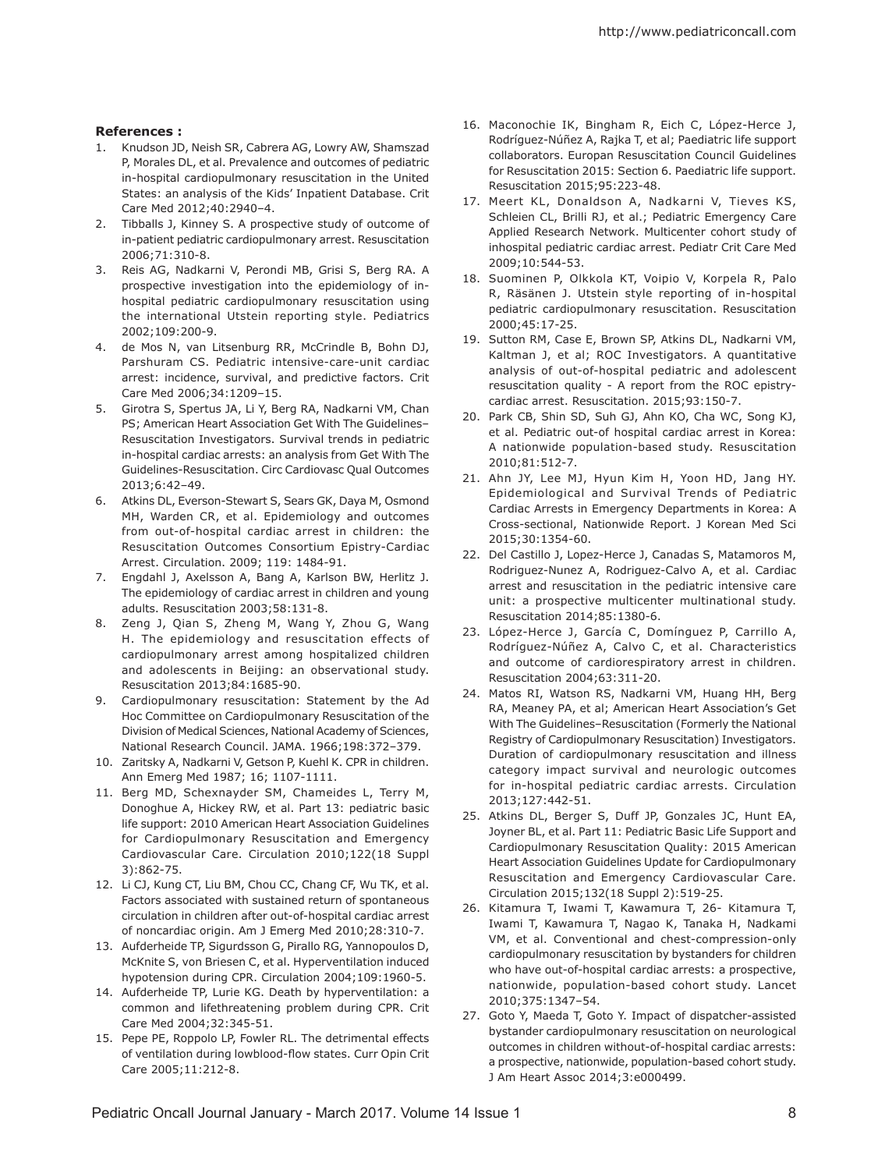# **References :**

- 1. Knudson JD, Neish SR, Cabrera AG, Lowry AW, Shamszad P, Morales DL, et al. Prevalence and outcomes of pediatric in-hospital cardiopulmonary resuscitation in the United States: an analysis of the Kids' Inpatient Database. Crit Care Med 2012;40:2940–4.
- 2. Tibballs J, Kinney S. A prospective study of outcome of in-patient pediatric cardiopulmonary arrest. Resuscitation 2006;71:310-8.
- 3. Reis AG, Nadkarni V, Perondi MB, Grisi S, Berg RA. A prospective investigation into the epidemiology of inhospital pediatric cardiopulmonary resuscitation using the international Utstein reporting style. Pediatrics 2002;109:200-9.
- 4. de Mos N, van Litsenburg RR, McCrindle B, Bohn DJ, Parshuram CS. Pediatric intensive-care-unit cardiac arrest: incidence, survival, and predictive factors. Crit Care Med 2006;34:1209–15.
- 5. Girotra S, Spertus JA, Li Y, Berg RA, Nadkarni VM, Chan PS; American Heart Association Get With The Guidelines– Resuscitation Investigators. Survival trends in pediatric in-hospital cardiac arrests: an analysis from Get With The Guidelines-Resuscitation. Circ Cardiovasc Qual Outcomes 2013;6:42–49.
- 6. Atkins DL, Everson-Stewart S, Sears GK, Daya M, Osmond MH, Warden CR, et al. Epidemiology and outcomes from out-of-hospital cardiac arrest in children: the Resuscitation Outcomes Consortium Epistry-Cardiac Arrest. Circulation. 2009; 119: 1484-91.
- 7. Engdahl J, Axelsson A, Bang A, Karlson BW, Herlitz J. The epidemiology of cardiac arrest in children and young adults. Resuscitation 2003;58:131-8.
- 8. Zeng J, Qian S, Zheng M, Wang Y, Zhou G, Wang H. The epidemiology and resuscitation effects of cardiopulmonary arrest among hospitalized children and adolescents in Beijing: an observational study. Resuscitation 2013;84:1685-90.
- 9. Cardiopulmonary resuscitation: Statement by the Ad Hoc Committee on Cardiopulmonary Resuscitation of the Division of Medical Sciences, National Academy of Sciences, National Research Council. JAMA. 1966;198:372–379.
- 10. Zaritsky A, Nadkarni V, Getson P, Kuehl K. CPR in children. Ann Emerg Med 1987; 16; 1107-1111.
- 11. Berg MD, Schexnayder SM, Chameides L, Terry M, Donoghue A, Hickey RW, et al. Part 13: pediatric basic life support: 2010 American Heart Association Guidelines for Cardiopulmonary Resuscitation and Emergency Cardiovascular Care. Circulation 2010;122(18 Suppl 3):862-75.
- 12. Li CJ, Kung CT, Liu BM, Chou CC, Chang CF, Wu TK, et al. Factors associated with sustained return of spontaneous circulation in children after out-of-hospital cardiac arrest of noncardiac origin. Am J Emerg Med 2010;28:310-7.
- 13. Aufderheide TP, Sigurdsson G, Pirallo RG, Yannopoulos D, McKnite S, von Briesen C, et al. Hyperventilation induced hypotension during CPR. Circulation 2004;109:1960-5.
- 14. Aufderheide TP, Lurie KG. Death by hyperventilation: a common and lifethreatening problem during CPR. Crit Care Med 2004;32:345-51.
- 15. Pepe PE, Roppolo LP, Fowler RL. The detrimental effects of ventilation during lowblood-flow states. Curr Opin Crit Care 2005;11:212-8.
- 16. Maconochie IK, Bingham R, Eich C, López-Herce J, Rodríguez-Núñez A, Rajka T, et al; Paediatric life support collaborators. Europan Resuscitation Council Guidelines for Resuscitation 2015: Section 6. Paediatric life support. Resuscitation 2015;95:223-48.
- 17. Meert KL, Donaldson A, Nadkarni V, Tieves KS, Schleien CL, Brilli RJ, et al.; Pediatric Emergency Care Applied Research Network. Multicenter cohort study of inhospital pediatric cardiac arrest. Pediatr Crit Care Med 2009;10:544-53.
- 18. Suominen P, Olkkola KT, Voipio V, Korpela R, Palo R, Räsänen J. Utstein style reporting of in-hospital pediatric cardiopulmonary resuscitation. Resuscitation 2000;45:17-25.
- 19. Sutton RM, Case E, Brown SP, Atkins DL, Nadkarni VM, Kaltman J, et al; ROC Investigators. A quantitative analysis of out-of-hospital pediatric and adolescent resuscitation quality - A report from the ROC epistrycardiac arrest. Resuscitation. 2015;93:150-7.
- 20. Park CB, Shin SD, Suh GJ, Ahn KO, Cha WC, Song KJ, et al. Pediatric out-of hospital cardiac arrest in Korea: A nationwide population-based study. Resuscitation 2010;81:512-7.
- 21. Ahn JY, Lee MJ, Hyun Kim H, Yoon HD, Jang HY. Epidemiological and Survival Trends of Pediatric Cardiac Arrests in Emergency Departments in Korea: A Cross-sectional, Nationwide Report. J Korean Med Sci 2015;30:1354-60.
- 22. Del Castillo J, Lopez-Herce J, Canadas S, Matamoros M, Rodriguez-Nunez A, Rodriguez-Calvo A, et al. Cardiac arrest and resuscitation in the pediatric intensive care unit: a prospective multicenter multinational study. Resuscitation 2014;85:1380-6.
- 23. López-Herce J, García C, Domínguez P, Carrillo A, Rodríguez-Núñez A, Calvo C, et al. Characteristics and outcome of cardiorespiratory arrest in children. Resuscitation 2004;63:311-20.
- 24. Matos RI, Watson RS, Nadkarni VM, Huang HH, Berg RA, Meaney PA, et al; American Heart Association's Get With The Guidelines–Resuscitation (Formerly the National Registry of Cardiopulmonary Resuscitation) Investigators. Duration of cardiopulmonary resuscitation and illness category impact survival and neurologic outcomes for in-hospital pediatric cardiac arrests. Circulation 2013;127:442-51.
- 25. Atkins DL, Berger S, Duff JP, Gonzales JC, Hunt EA, Joyner BL, et al. Part 11: Pediatric Basic Life Support and Cardiopulmonary Resuscitation Quality: 2015 American Heart Association Guidelines Update for Cardiopulmonary Resuscitation and Emergency Cardiovascular Care. Circulation 2015;132(18 Suppl 2):519-25.
- 26. Kitamura T, Iwami T, Kawamura T, 26- Kitamura T, Iwami T, Kawamura T, Nagao K, Tanaka H, Nadkami VM, et al. Conventional and chest-compression-only cardiopulmonary resuscitation by bystanders for children who have out-of-hospital cardiac arrests: a prospective, nationwide, population-based cohort study. Lancet 2010;375:1347–54.
- 27. Goto Y, Maeda T, Goto Y. Impact of dispatcher-assisted bystander cardiopulmonary resuscitation on neurological outcomes in children without-of-hospital cardiac arrests: a prospective, nationwide, population-based cohort study. J Am Heart Assoc 2014;3:e000499.